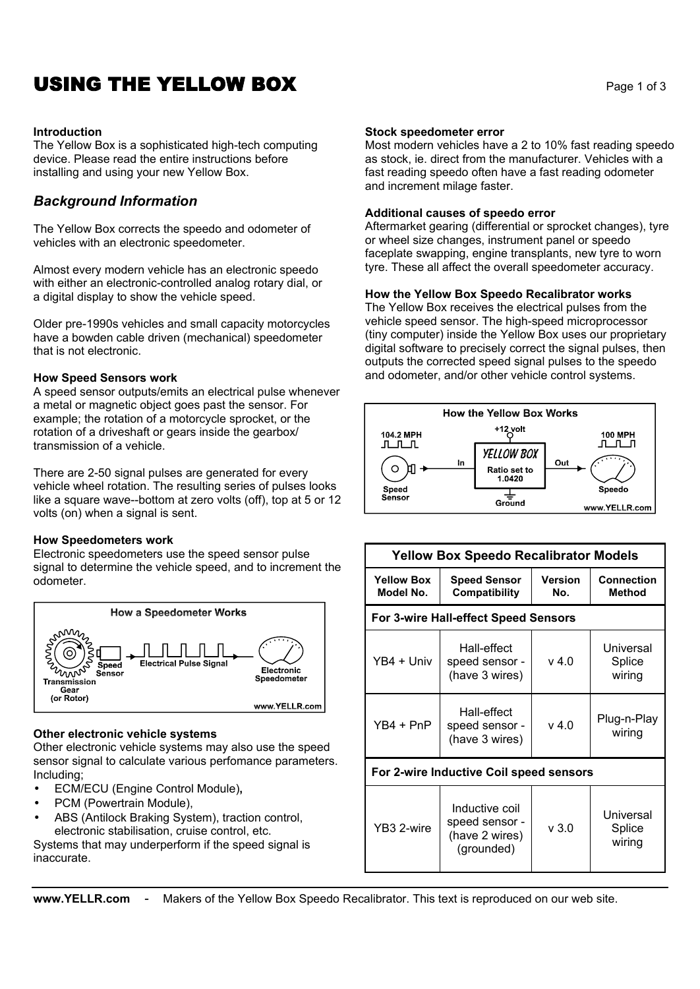# **USING THE YELLOW BOX** Page 1 of 3

### **Introduction**

The Yellow Box is a sophisticated high-tech computing device. Please read the entire instructions before installing and using your new Yellow Box.

## *Background Information*

The Yellow Box corrects the speedo and odometer of vehicles with an electronic speedometer.

Almost every modern vehicle has an electronic speedo with either an electronic-controlled analog rotary dial, or a digital display to show the vehicle speed.

Older pre-1990s vehicles and small capacity motorcycles have a bowden cable driven (mechanical) speedometer that is not electronic.

### **How Speed Sensors work**

A speed sensor outputs/emits an electrical pulse whenever a metal or magnetic object goes past the sensor. For example; the rotation of a motorcycle sprocket, or the rotation of a driveshaft or gears inside the gearbox/ transmission of a vehicle.

There are 2-50 signal pulses are generated for every vehicle wheel rotation. The resulting series of pulses looks like a square wave--bottom at zero volts (off), top at 5 or 12 volts (on) when a signal is sent.

### **How Speedometers work**

Electronic speedometers use the speed sensor pulse signal to determine the vehicle speed, and to increment the odometer.



### **Other electronic vehicle systems**

Other electronic vehicle systems may also use the speed sensor signal to calculate various perfomance parameters. Including;

- ECM/ECU (Engine Control Module)**,**
- PCM (Powertrain Module),
- ABS (Antilock Braking System), traction control, electronic stabilisation, cruise control, etc.

Systems that may underperform if the speed signal is inaccurate.

## **Stock speedometer error**

Most modern vehicles have a 2 to 10% fast reading speedo as stock, ie. direct from the manufacturer. Vehicles with a fast reading speedo often have a fast reading odometer and increment milage faster.

## **Additional causes of speedo error**

Aftermarket gearing (differential or sprocket changes), tyre or wheel size changes, instrument panel or speedo faceplate swapping, engine transplants, new tyre to worn tyre. These all affect the overall speedometer accuracy.

## **How the Yellow Box Speedo Recalibrator works**

The Yellow Box receives the electrical pulses from the vehicle speed sensor. The high-speed microprocessor (tiny computer) inside the Yellow Box uses our proprietary digital software to precisely correct the signal pulses, then outputs the corrected speed signal pulses to the speedo and odometer, and/or other vehicle control systems.



|                                         | <b>Yellow Box Speedo Recalibrator Models</b>                     |                       |                               |  |  |
|-----------------------------------------|------------------------------------------------------------------|-----------------------|-------------------------------|--|--|
| <b>Yellow Box</b><br>Model No.          | <b>Speed Sensor</b><br>Compatibility                             | <b>Version</b><br>No. | Connection<br><b>Method</b>   |  |  |
| For 3-wire Hall-effect Speed Sensors    |                                                                  |                       |                               |  |  |
| YB4 + Univ                              | Hall-effect<br>speed sensor -<br>(have 3 wires)                  | v 4.0                 | Universal<br>Splice<br>wiring |  |  |
| YB4 + PnP                               | Hall-effect<br>speed sensor -<br>(have 3 wires)                  | v 4.0                 | Plug-n-Play<br>wiring         |  |  |
| For 2-wire Inductive Coil speed sensors |                                                                  |                       |                               |  |  |
| YB3 2-wire                              | Inductive coil<br>speed sensor -<br>(have 2 wires)<br>(grounded) | v3.0                  | Universal<br>Splice<br>wiring |  |  |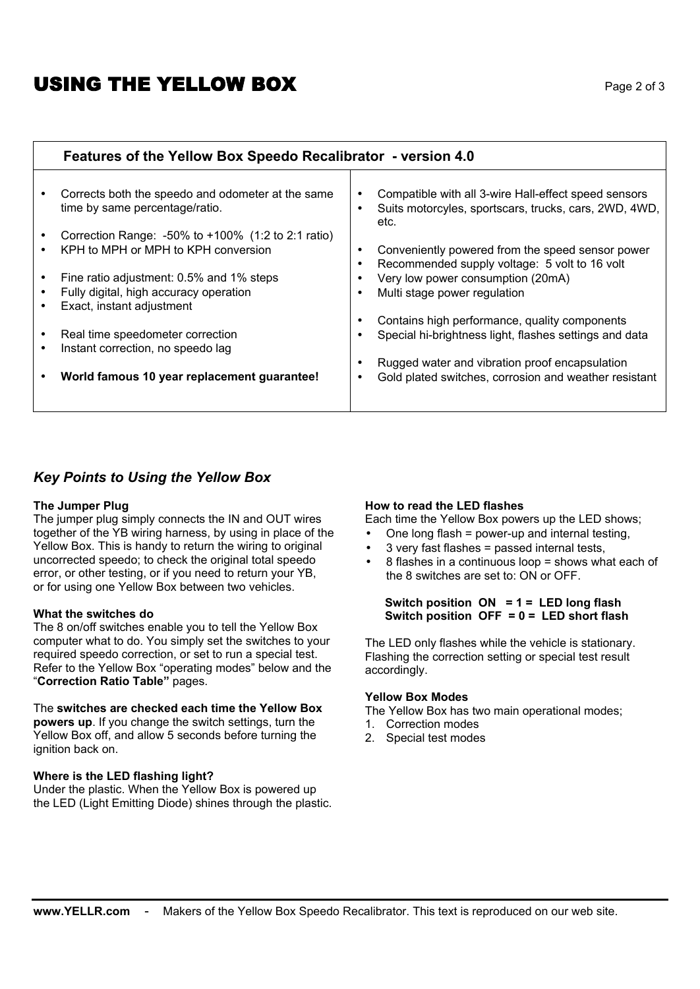# **USING THE YELLOW BOX** Page 2 of 3

## **Features of the Yellow Box Speedo Recalibrator - version 4.0**

| Corrects both the speedo and odometer at the same<br>time by same percentage/ratio. | $\bullet$ | Compatible with all 3-wire Hall-effect speed sensors<br>Suits motorcyles, sportscars, trucks, cars, 2WD, 4WD,<br>etc. |
|-------------------------------------------------------------------------------------|-----------|-----------------------------------------------------------------------------------------------------------------------|
| Correction Range: $-50\%$ to $+100\%$ (1:2 to 2:1 ratio)                            |           |                                                                                                                       |
| KPH to MPH or MPH to KPH conversion                                                 |           | Conveniently powered from the speed sensor power                                                                      |
|                                                                                     |           | Recommended supply voltage: 5 volt to 16 volt                                                                         |
| Fine ratio adjustment: 0.5% and 1% steps                                            |           | Very low power consumption (20mA)                                                                                     |
| Fully digital, high accuracy operation                                              | ٠         | Multi stage power regulation                                                                                          |
| Exact, instant adjustment                                                           |           |                                                                                                                       |
|                                                                                     |           | Contains high performance, quality components                                                                         |
| Real time speedometer correction                                                    |           | Special hi-brightness light, flashes settings and data                                                                |
| Instant correction, no speedo lag                                                   |           |                                                                                                                       |
|                                                                                     |           | Rugged water and vibration proof encapsulation                                                                        |
| World famous 10 year replacement guarantee!                                         | ٠         | Gold plated switches, corrosion and weather resistant                                                                 |
|                                                                                     |           |                                                                                                                       |
|                                                                                     |           |                                                                                                                       |

## *Key Points to Using the Yellow Box*

### **The Jumper Plug**

The jumper plug simply connects the IN and OUT wires together of the YB wiring harness, by using in place of the Yellow Box. This is handy to return the wiring to original uncorrected speedo; to check the original total speedo error, or other testing, or if you need to return your YB, or for using one Yellow Box between two vehicles.

### **What the switches do**

The 8 on/off switches enable you to tell the Yellow Box computer what to do. You simply set the switches to your required speedo correction, or set to run a special test. Refer to the Yellow Box "operating modes" below and the "**Correction Ratio Table"** pages.

### The **switches are checked each time the Yellow Box**

**powers up**. If you change the switch settings, turn the Yellow Box off, and allow 5 seconds before turning the ignition back on.

## **Where is the LED flashing light?**

Under the plastic. When the Yellow Box is powered up the LED (Light Emitting Diode) shines through the plastic.

### **How to read the LED flashes**

Each time the Yellow Box powers up the LED shows;

- One long flash = power-up and internal testing,
- 3 very fast flashes = passed internal tests,
- 8 flashes in a continuous loop = shows what each of the 8 switches are set to: ON or OFF.

## **Switch position ON = 1 = LED long flash Switch position OFF = 0 = LED short flash**

The LED only flashes while the vehicle is stationary. Flashing the correction setting or special test result accordingly.

### **Yellow Box Modes**

The Yellow Box has two main operational modes;

- 1. Correction modes
- 2. Special test modes